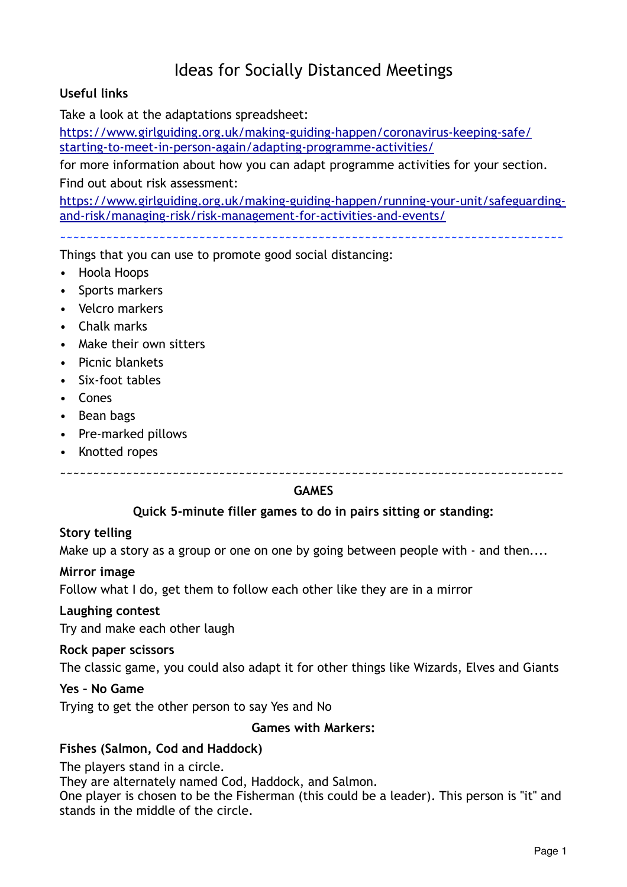# Ideas for Socially Distanced Meetings

## **Useful links**

Take a look at the adaptations spreadsheet:

[https://www.girlguiding.org.uk/making-guiding-happen/coronavirus-keeping-safe/](https://www.girlguiding.org.uk/making-guiding-happen/coronavirus-keeping-safe/starting-to-meet-in-person-again/adapting-programme-activities/) [starting-to-meet-in-person-again/adapting-programme-activities/](https://www.girlguiding.org.uk/making-guiding-happen/coronavirus-keeping-safe/starting-to-meet-in-person-again/adapting-programme-activities/)

for more information about how you can adapt programme activities for your section. Find out about risk assessment:

[https://www.girlguiding.org.uk/making-guiding-happen/running-your-unit/safeguarding](https://www.girlguiding.org.uk/making-guiding-happen/running-your-unit/safeguarding-and-risk/managing-risk/risk-management-for-activities-and-events/)[and-risk/managing-risk/risk-management-for-activities-and-events/](https://www.girlguiding.org.uk/making-guiding-happen/running-your-unit/safeguarding-and-risk/managing-risk/risk-management-for-activities-and-events/)

~~~~~~~~~~~~~~~~~~~~~~~~~~~~~~~~~~~~~~~~~~~~~~~~~~~~~~~~~~~~~~~~~~~~~~~~~~~~

Things that you can use to promote good social distancing:

- Hoola Hoops
- Sports markers
- Velcro markers
- Chalk marks
- Make their own sitters
- Picnic blankets
- Six-foot tables
- Cones
- Bean bags
- Pre-marked pillows
- Knotted ropes

~~~~~~~~~~~~~~~~~~~~~~~~~~~~~~~~~~~~~~~~~~~~~~~~~~~~~~~~~~~~~~~~~~~~~~~~~~~~

#### **GAMES**

#### **Quick 5-minute filler games to do in pairs sitting or standing:**

#### **Story telling**

Make up a story as a group or one on one by going between people with - and then....

#### **Mirror image**

Follow what I do, get them to follow each other like they are in a mirror

#### **Laughing contest**

Try and make each other laugh

#### **Rock paper scissors**

The classic game, you could also adapt it for other things like Wizards, Elves and Giants

#### **Yes – No Game**

Trying to get the other person to say Yes and No

#### **Games with Markers:**

#### **Fishes (Salmon, Cod and Haddock)**

The players stand in a circle.

They are alternately named Cod, Haddock, and Salmon.

One player is chosen to be the Fisherman (this could be a leader). This person is "it" and stands in the middle of the circle.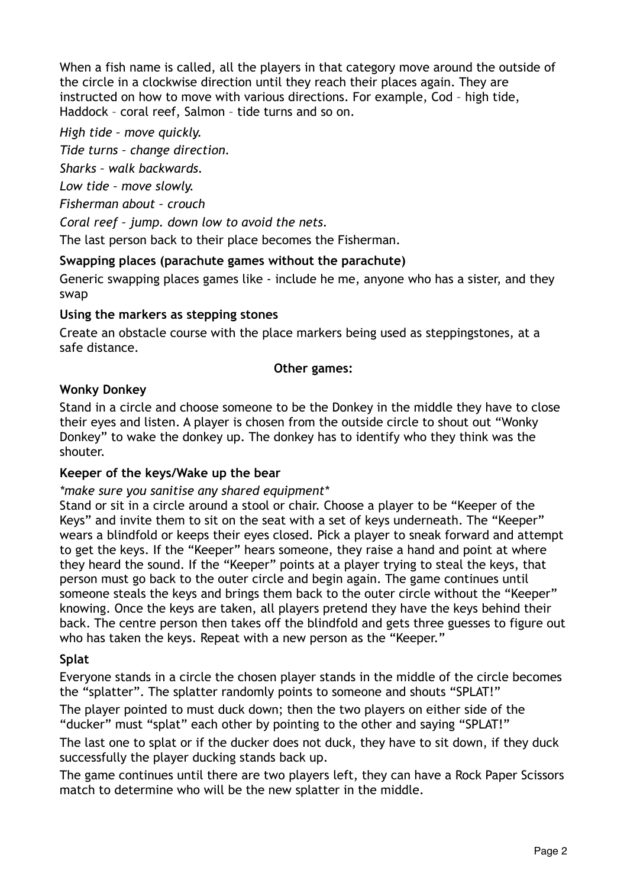When a fish name is called, all the players in that category move around the outside of the circle in a clockwise direction until they reach their places again. They are instructed on how to move with various directions. For example, Cod – high tide, Haddock – coral reef, Salmon – tide turns and so on.

*High tide – move quickly.* 

*Tide turns – change direction.* 

*Sharks – walk backwards.* 

*Low tide – move slowly.* 

*Fisherman about – crouch* 

*Coral reef – jump. down low to avoid the nets.* 

The last person back to their place becomes the Fisherman.

## **Swapping places (parachute games without the parachute)**

Generic swapping places games like - include he me, anyone who has a sister, and they swap

## **Using the markers as stepping stones**

Create an obstacle course with the place markers being used as steppingstones, at a safe distance.

## **Other games:**

## **Wonky Donkey**

Stand in a circle and choose someone to be the Donkey in the middle they have to close their eyes and listen. A player is chosen from the outside circle to shout out "Wonky Donkey" to wake the donkey up. The donkey has to identify who they think was the shouter.

## **Keeper of the keys/Wake up the bear**

## *\*make sure you sanitise any shared equipment\**

Stand or sit in a circle around a stool or chair. Choose a player to be "Keeper of the Keys" and invite them to sit on the seat with a set of keys underneath. The "Keeper" wears a blindfold or keeps their eyes closed. Pick a player to sneak forward and attempt to get the keys. If the "Keeper" hears someone, they raise a hand and point at where they heard the sound. If the "Keeper" points at a player trying to steal the keys, that person must go back to the outer circle and begin again. The game continues until someone steals the keys and brings them back to the outer circle without the "Keeper" knowing. Once the keys are taken, all players pretend they have the keys behind their back. The centre person then takes off the blindfold and gets three guesses to figure out who has taken the keys. Repeat with a new person as the "Keeper."

## **Splat**

Everyone stands in a circle the chosen player stands in the middle of the circle becomes the "splatter". The splatter randomly points to someone and shouts "SPLAT!"

The player pointed to must duck down; then the two players on either side of the "ducker" must "splat" each other by pointing to the other and saying "SPLAT!"

The last one to splat or if the ducker does not duck, they have to sit down, if they duck successfully the player ducking stands back up.

The game continues until there are two players left, they can have a Rock Paper Scissors match to determine who will be the new splatter in the middle.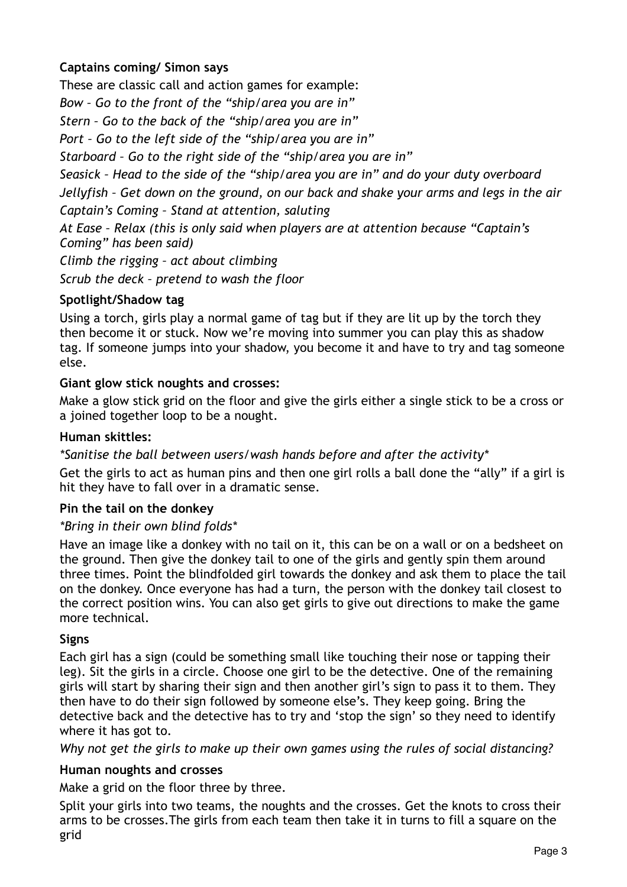## **Captains coming/ Simon says**

These are classic call and action games for example:

*Bow – Go to the front of the "ship/area you are in"* 

*Stern – Go to the back of the "ship/area you are in"* 

*Port – Go to the left side of the "ship/area you are in"* 

*Starboard – Go to the right side of the "ship/area you are in"* 

*Seasick – Head to the side of the "ship/area you are in" and do your duty overboard Jellyfish – Get down on the ground, on our back and shake your arms and legs in the air Captain's Coming – Stand at attention, saluting* 

*At Ease – Relax (this is only said when players are at attention because "Captain's Coming" has been said)* 

*Climb the rigging – act about climbing* 

*Scrub the deck – pretend to wash the floor* 

## **Spotlight/Shadow tag**

Using a torch, girls play a normal game of tag but if they are lit up by the torch they then become it or stuck. Now we're moving into summer you can play this as shadow tag. If someone jumps into your shadow, you become it and have to try and tag someone else.

## **Giant glow stick noughts and crosses:**

Make a glow stick grid on the floor and give the girls either a single stick to be a cross or a joined together loop to be a nought.

## **Human skittles:**

*\*Sanitise the ball between users/wash hands before and after the activity\**

Get the girls to act as human pins and then one girl rolls a ball done the "ally" if a girl is hit they have to fall over in a dramatic sense.

## **Pin the tail on the donkey**

## *\*Bring in their own blind folds\**

Have an image like a donkey with no tail on it, this can be on a wall or on a bedsheet on the ground. Then give the donkey tail to one of the girls and gently spin them around three times. Point the blindfolded girl towards the donkey and ask them to place the tail on the donkey. Once everyone has had a turn, the person with the donkey tail closest to the correct position wins. You can also get girls to give out directions to make the game more technical.

## **Signs**

Each girl has a sign (could be something small like touching their nose or tapping their leg). Sit the girls in a circle. Choose one girl to be the detective. One of the remaining girls will start by sharing their sign and then another girl's sign to pass it to them. They then have to do their sign followed by someone else's. They keep going. Bring the detective back and the detective has to try and 'stop the sign' so they need to identify where it has got to.

*Why not get the girls to make up their own games using the rules of social distancing?* 

## **Human noughts and crosses**

Make a grid on the floor three by three.

Split your girls into two teams, the noughts and the crosses. Get the knots to cross their arms to be crosses.The girls from each team then take it in turns to fill a square on the grid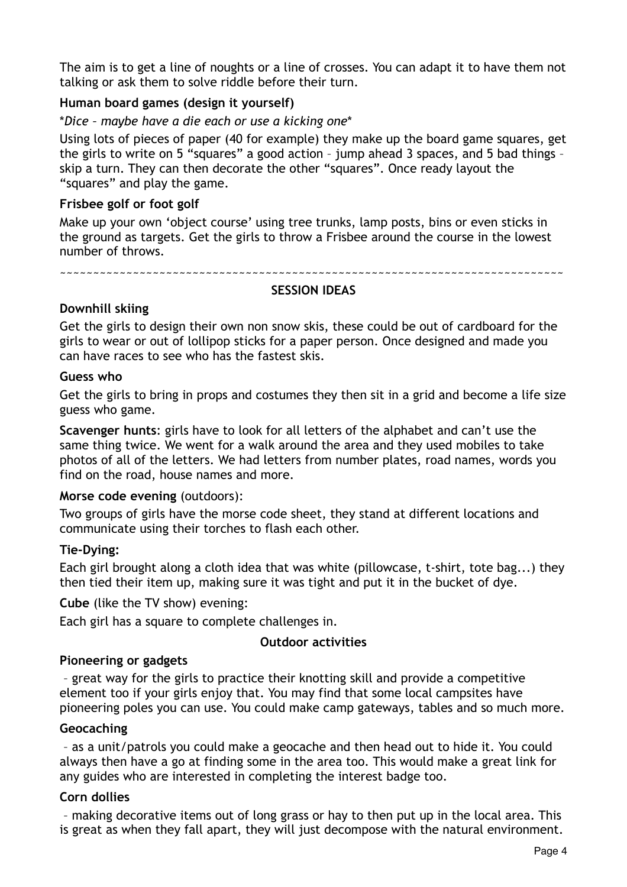The aim is to get a line of noughts or a line of crosses. You can adapt it to have them not talking or ask them to solve riddle before their turn.

## **Human board games (design it yourself)**

#### \**Dice – maybe have a die each or use a kicking one*\*

Using lots of pieces of paper (40 for example) they make up the board game squares, get the girls to write on 5 "squares" a good action – jump ahead 3 spaces, and 5 bad things – skip a turn. They can then decorate the other "squares". Once ready layout the "squares" and play the game.

#### **Frisbee golf or foot golf**

Make up your own 'object course' using tree trunks, lamp posts, bins or even sticks in the ground as targets. Get the girls to throw a Frisbee around the course in the lowest number of throws.

~~~~~~~~~~~~~~~~~~~~~~~~~~~~~~~~~~~~~~~~~~~~~~~~~~~~~~~~~~~~~~~~~~~~~~~~~~~~

#### **SESSION IDEAS**

## **Downhill skiing**

Get the girls to design their own non snow skis, these could be out of cardboard for the girls to wear or out of lollipop sticks for a paper person. Once designed and made you can have races to see who has the fastest skis.

#### **Guess who**

Get the girls to bring in props and costumes they then sit in a grid and become a life size guess who game.

**Scavenger hunts**: girls have to look for all letters of the alphabet and can't use the same thing twice. We went for a walk around the area and they used mobiles to take photos of all of the letters. We had letters from number plates, road names, words you find on the road, house names and more.

#### **Morse code evening** (outdoors):

Two groups of girls have the morse code sheet, they stand at different locations and communicate using their torches to flash each other.

#### **Tie-Dying:**

Each girl brought along a cloth idea that was white (pillowcase, t-shirt, tote bag...) they then tied their item up, making sure it was tight and put it in the bucket of dye.

**Cube** (like the TV show) evening:

Each girl has a square to complete challenges in.

#### **Outdoor activities**

#### **Pioneering or gadgets**

 – great way for the girls to practice their knotting skill and provide a competitive element too if your girls enjoy that. You may find that some local campsites have pioneering poles you can use. You could make camp gateways, tables and so much more.

#### **Geocaching**

– as a unit/patrols you could make a geocache and then head out to hide it. You could always then have a go at finding some in the area too. This would make a great link for any guides who are interested in completing the interest badge too.

#### **Corn dollies**

 – making decorative items out of long grass or hay to then put up in the local area. This is great as when they fall apart, they will just decompose with the natural environment.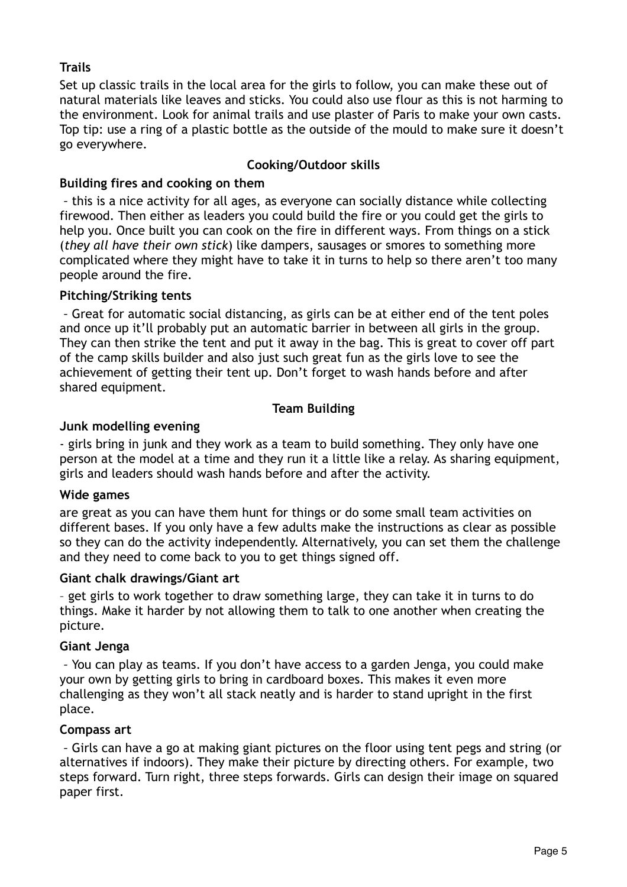## **Trails**

Set up classic trails in the local area for the girls to follow, you can make these out of natural materials like leaves and sticks. You could also use flour as this is not harming to the environment. Look for animal trails and use plaster of Paris to make your own casts. Top tip: use a ring of a plastic bottle as the outside of the mould to make sure it doesn't go everywhere.

## **Cooking/Outdoor skills**

## **Building fires and cooking on them**

 *–* this is a nice activity for all ages, as everyone can socially distance while collecting firewood. Then either as leaders you could build the fire or you could get the girls to help you. Once built you can cook on the fire in different ways. From things on a stick (*they all have their own stick*) like dampers, sausages or smores to something more complicated where they might have to take it in turns to help so there aren't too many people around the fire.

## **Pitching/Striking tents**

 *–* Great for automatic social distancing, as girls can be at either end of the tent poles and once up it'll probably put an automatic barrier in between all girls in the group. They can then strike the tent and put it away in the bag. This is great to cover off part of the camp skills builder and also just such great fun as the girls love to see the achievement of getting their tent up. Don't forget to wash hands before and after shared equipment.

## **Team Building**

## **Junk modelling evening**

- girls bring in junk and they work as a team to build something. They only have one person at the model at a time and they run it a little like a relay. As sharing equipment, girls and leaders should wash hands before and after the activity.

## **Wide games**

are great as you can have them hunt for things or do some small team activities on different bases. If you only have a few adults make the instructions as clear as possible so they can do the activity independently. Alternatively, you can set them the challenge and they need to come back to you to get things signed off.

#### **Giant chalk drawings/Giant art**

– get girls to work together to draw something large, they can take it in turns to do things. Make it harder by not allowing them to talk to one another when creating the picture.

#### **Giant Jenga**

 *–* You can play as teams. If you don't have access to a garden Jenga, you could make your own by getting girls to bring in cardboard boxes. This makes it even more challenging as they won't all stack neatly and is harder to stand upright in the first place.

## **Compass art**

 *–* Girls can have a go at making giant pictures on the floor using tent pegs and string (or alternatives if indoors). They make their picture by directing others. For example, two steps forward. Turn right, three steps forwards. Girls can design their image on squared paper first.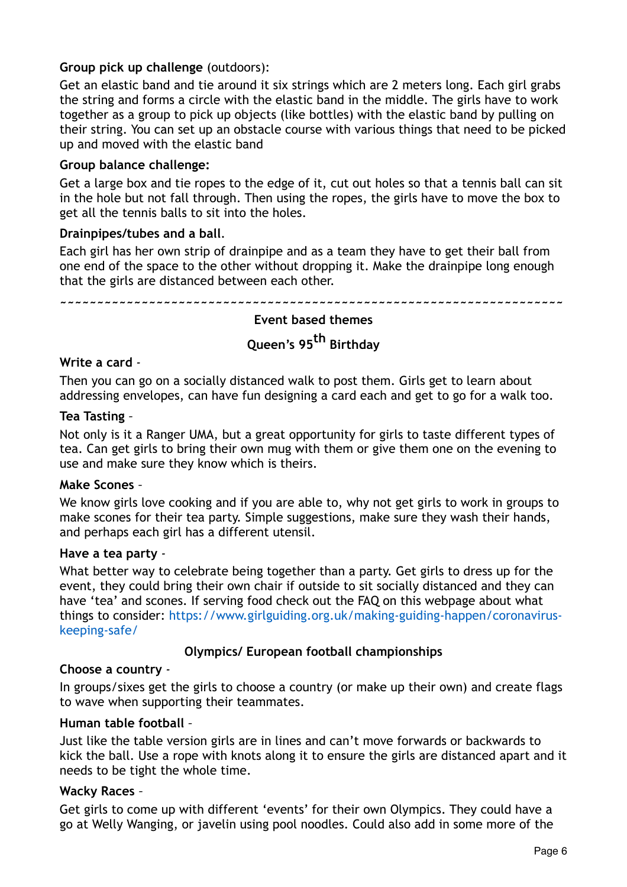## **Group pick up challenge** (outdoors):

Get an elastic band and tie around it six strings which are 2 meters long. Each girl grabs the string and forms a circle with the elastic band in the middle. The girls have to work together as a group to pick up objects (like bottles) with the elastic band by pulling on their string. You can set up an obstacle course with various things that need to be picked up and moved with the elastic band

#### **Group balance challenge:**

Get a large box and tie ropes to the edge of it, cut out holes so that a tennis ball can sit in the hole but not fall through. Then using the ropes, the girls have to move the box to get all the tennis balls to sit into the holes.

#### **Drainpipes/tubes and a ball**.

Each girl has her own strip of drainpipe and as a team they have to get their ball from one end of the space to the other without dropping it. Make the drainpipe long enough that the girls are distanced between each other.

**~~~~~~~~~~~~~~~~~~~~~~~~~~~~~~~~~~~~~~~~~~~~~~~~~~~~~~~~~~~~~~~~~~~~**

## **Event based themes Queen's 95th Birthday**

#### **Write a card** *-*

Then you can go on a socially distanced walk to post them. Girls get to learn about addressing envelopes, can have fun designing a card each and get to go for a walk too.

#### **Tea Tasting** *–*

Not only is it a Ranger UMA, but a great opportunity for girls to taste different types of tea. Can get girls to bring their own mug with them or give them one on the evening to use and make sure they know which is theirs.

#### **Make Scones** *–*

We know girls love cooking and if you are able to, why not get girls to work in groups to make scones for their tea party. Simple suggestions, make sure they wash their hands, and perhaps each girl has a different utensil.

#### **Have a tea party** *-*

What better way to celebrate being together than a party. Get girls to dress up for the event, they could bring their own chair if outside to sit socially distanced and they can have 'tea' and scones. If serving food check out the FAQ on this webpage about what things to consider: https://www.girlguiding.org.uk/making-guiding-happen/coronaviruskeeping-safe/

#### **Olympics/ European football championships**

#### **Choose a country** *-*

In groups/sixes get the girls to choose a country (or make up their own) and create flags to wave when supporting their teammates.

#### **Human table football** *–*

Just like the table version girls are in lines and can't move forwards or backwards to kick the ball. Use a rope with knots along it to ensure the girls are distanced apart and it needs to be tight the whole time.

#### **Wacky Races** *–*

Get girls to come up with different 'events' for their own Olympics. They could have a go at Welly Wanging, or javelin using pool noodles. Could also add in some more of the